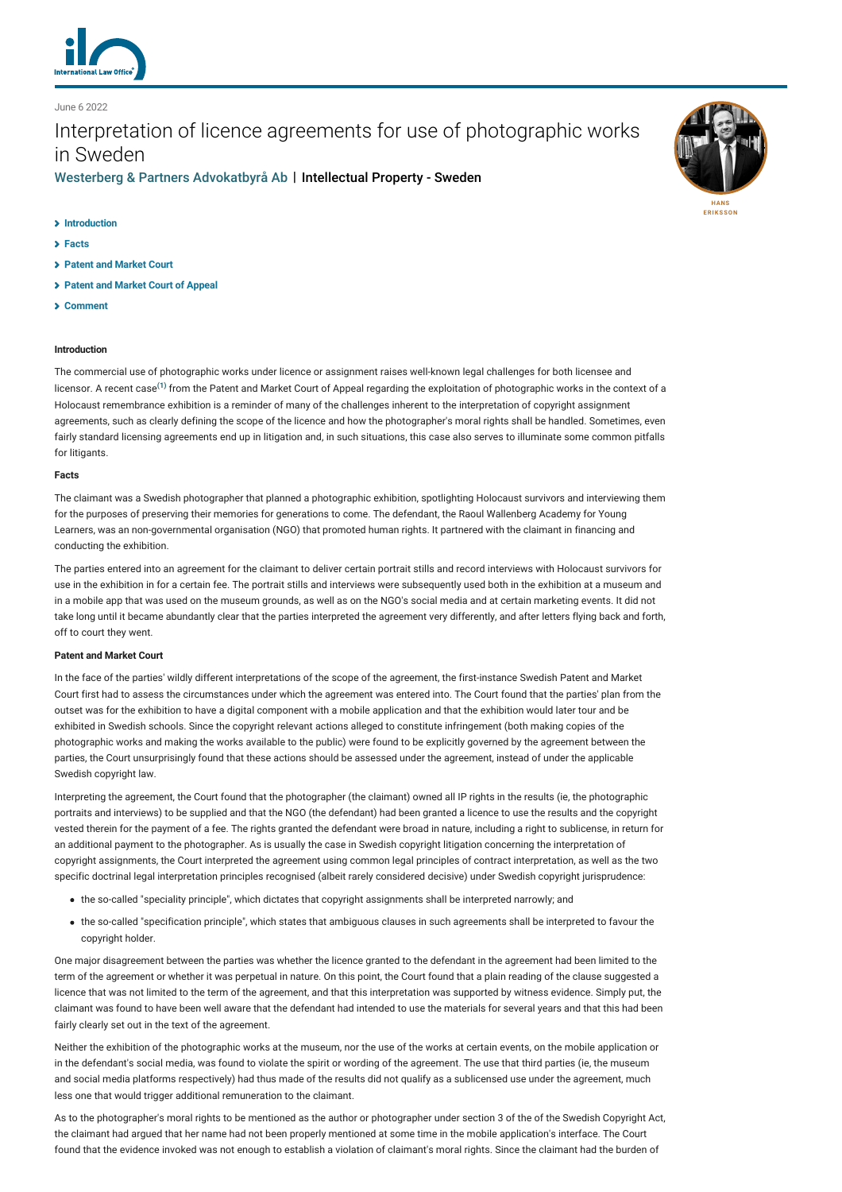

June 6 2022

# Interpretation of licence agreements for use of photographic works in Sweden

[Westerberg & Partners Advokatbyrå Ab](http://lexology-legacy.lexology.svc.cluster.local/contributors/1222119) | Intellectual Property - Sweden

### **[Introduction](#page-0-0)**

- **[Facts](#page-0-1)**
- **[Patent and Market Court](#page-0-2)**
- **[Patent and Market Court of Appeal](#page-1-0)**
- **[Comment](#page-1-1)**

# <span id="page-0-0"></span>**Introduction**

The commercial use of photographic works under licence or assignment raises well-known legal challenges for both licensee and licensor. A recent case**[\(1\)](#page-1-2)** from the Patent and Market Court of Appeal regarding the exploitation of photographic works in the context of a Holocaust remembrance exhibition is a reminder of many of the challenges inherent to the interpretation of copyright assignment agreements, such as clearly defining the scope of the licence and how the photographer's moral rights shall be handled. Sometimes, even fairly standard licensing agreements end up in litigation and, in such situations, this case also serves to illuminate some common pitfalls for litigants.

#### <span id="page-0-1"></span>**Facts**

The claimant was a Swedish photographer that planned a photographic exhibition, spotlighting Holocaust survivors and interviewing them for the purposes of preserving their memories for generations to come. The defendant, the Raoul Wallenberg Academy for Young Learners, was an non-governmental organisation (NGO) that promoted human rights. It partnered with the claimant in financing and conducting the exhibition.

The parties entered into an agreement for the claimant to deliver certain portrait stills and record interviews with Holocaust survivors for use in the exhibition in for a certain fee. The portrait stills and interviews were subsequently used both in the exhibition at a museum and in a mobile app that was used on the museum grounds, as well as on the NGO's social media and at certain marketing events. It did not take long until it became abundantly clear that the parties interpreted the agreement very differently, and after letters flying back and forth, off to court they went.

#### <span id="page-0-2"></span>**Patent and Market Court**

In the face of the parties' wildly different interpretations of the scope of the agreement, the first-instance Swedish Patent and Market Court first had to assess the circumstances under which the agreement was entered into. The Court found that the parties' plan from the outset was for the exhibition to have a digital component with a mobile application and that the exhibition would later tour and be exhibited in Swedish schools. Since the copyright relevant actions alleged to constitute infringement (both making copies of the photographic works and making the works available to the public) were found to be explicitly governed by the agreement between the parties, the Court unsurprisingly found that these actions should be assessed under the agreement, instead of under the applicable Swedish copyright law.

Interpreting the agreement, the Court found that the photographer (the claimant) owned all IP rights in the results (ie, the photographic portraits and interviews) to be supplied and that the NGO (the defendant) had been granted a licence to use the results and the copyright vested therein for the payment of a fee. The rights granted the defendant were broad in nature, including a right to sublicense, in return for an additional payment to the photographer. As is usually the case in Swedish copyright litigation concerning the interpretation of copyright assignments, the Court interpreted the agreement using common legal principles of contract interpretation, as well as the two specific doctrinal legal interpretation principles recognised (albeit rarely considered decisive) under Swedish copyright jurisprudence:

- the so-called "speciality principle", which dictates that copyright assignments shall be interpreted narrowly; and
- the so-called "specification principle", which states that ambiguous clauses in such agreements shall be interpreted to favour the copyright holder.

One major disagreement between the parties was whether the licence granted to the defendant in the agreement had been limited to the term of the agreement or whether it was perpetual in nature. On this point, the Court found that a plain reading of the clause suggested a licence that was not limited to the term of the agreement, and that this interpretation was supported by witness evidence. Simply put, the claimant was found to have been well aware that the defendant had intended to use the materials for several years and that this had been fairly clearly set out in the text of the agreement.

Neither the exhibition of the photographic works at the museum, nor the use of the works at certain events, on the mobile application or in the defendant's social media, was found to violate the spirit or wording of the agreement. The use that third parties (ie, the museum and social media platforms respectively) had thus made of the results did not qualify as a sublicensed use under the agreement, much less one that would trigger additional remuneration to the claimant.

As to the photographer's moral rights to be mentioned as the author or photographer under section 3 of the of the Swedish Copyright Act, the claimant had argued that her name had not been properly mentioned at some time in the mobile application's interface. The Court found that the evidence invoked was not enough to establish a violation of claimant's moral rights. Since the claimant had the burden of